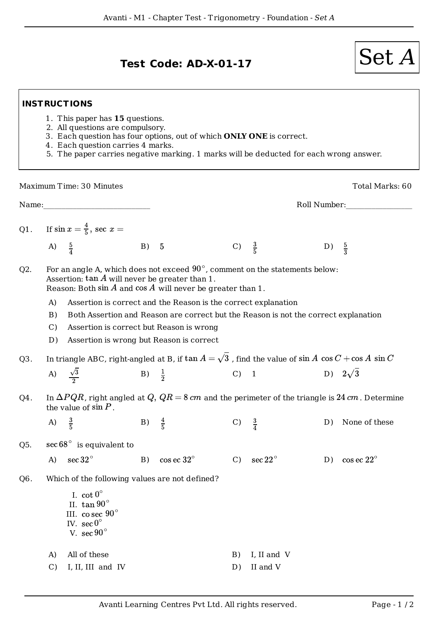## **INSTRUCTIONS**

- 1. This paper has **15** questions.
- 2. All questions are compulsory.
- 3. Each question has four options, out of which **ONLY ONE** is correct.
- 4. Each question carries 4 marks.
- 5. The paper carries negative marking. 1 marks will be deducted for each wrong answer.

|                  |                                                                                                                                                                                                                | Maximum Time: 30 Minutes                                                                                                          |                  |                        |                  |                   |    | Total Marks: 60        |  |  |  |
|------------------|----------------------------------------------------------------------------------------------------------------------------------------------------------------------------------------------------------------|-----------------------------------------------------------------------------------------------------------------------------------|------------------|------------------------|------------------|-------------------|----|------------------------|--|--|--|
| Name:            |                                                                                                                                                                                                                |                                                                                                                                   |                  |                        |                  | Roll Number:      |    |                        |  |  |  |
|                  |                                                                                                                                                                                                                | Q1. If $\sin x = \frac{4}{5}$ , sec $x =$                                                                                         |                  |                        |                  |                   |    |                        |  |  |  |
|                  | A) $\frac{5}{4}$                                                                                                                                                                                               |                                                                                                                                   | B)               | $\overline{5}$         | $\mathcal{C}$    | $\frac{3}{5}$     | D) | $\frac{5}{3}$          |  |  |  |
| Q2.              | For an angle A, which does not exceed $90^{\circ}$ , comment on the statements below:<br>Assertion: $\tan A$ will never be greater than 1.<br>Reason: Both $\sin A$ and $\cos A$ will never be greater than 1. |                                                                                                                                   |                  |                        |                  |                   |    |                        |  |  |  |
|                  | $\mathbf{A}$<br>Assertion is correct and the Reason is the correct explanation                                                                                                                                 |                                                                                                                                   |                  |                        |                  |                   |    |                        |  |  |  |
|                  | B)                                                                                                                                                                                                             | Both Assertion and Reason are correct but the Reason is not the correct explanation                                               |                  |                        |                  |                   |    |                        |  |  |  |
|                  | $\mathcal{C}$ )                                                                                                                                                                                                | Assertion is correct but Reason is wrong                                                                                          |                  |                        |                  |                   |    |                        |  |  |  |
|                  | D)                                                                                                                                                                                                             | Assertion is wrong but Reason is correct                                                                                          |                  |                        |                  |                   |    |                        |  |  |  |
| Q <sub>3</sub> . |                                                                                                                                                                                                                | In triangle ABC, right-angled at B, if $\tan A = \sqrt{3}$ , find the value of $\sin A \cos C + \cos A \sin C$                    |                  |                        |                  |                   |    |                        |  |  |  |
|                  | A)                                                                                                                                                                                                             | $\frac{\sqrt{3}}{2}$                                                                                                              | B) $\frac{1}{2}$ |                        | C) 1             |                   |    | D) $2\sqrt{3}$         |  |  |  |
| Q4.              |                                                                                                                                                                                                                | In $\Delta PQR$ , right angled at Q, $QR = 8$ cm and the perimeter of the triangle is 24 cm. Determine<br>the value of $\sin P$ . |                  |                        |                  |                   |    |                        |  |  |  |
|                  | A)                                                                                                                                                                                                             | $\frac{3}{5}$                                                                                                                     | B) $\frac{4}{5}$ |                        | C) $\frac{3}{4}$ |                   | D) | None of these          |  |  |  |
| Q <sub>5</sub> . | $\sec 68^\circ$ is equivalent to                                                                                                                                                                               |                                                                                                                                   |                  |                        |                  |                   |    |                        |  |  |  |
|                  | A)                                                                                                                                                                                                             | $\sec{32}^{\circ}$                                                                                                                |                  | B) cos ec $32^{\circ}$ | $C$ )            | $\sec 22^{\circ}$ | D) | $\cos$ ec $22^{\circ}$ |  |  |  |
| Q <sub>6</sub> . | Which of the following values are not defined?                                                                                                                                                                 |                                                                                                                                   |                  |                        |                  |                   |    |                        |  |  |  |
|                  |                                                                                                                                                                                                                | I. $\cot 0^\circ$<br>II. $\tan 90^\circ$<br>III. co sec $90^\circ$<br>IV. sec $0^\circ$<br>V. sec $90^\circ$                      |                  |                        |                  |                   |    |                        |  |  |  |
|                  | A)                                                                                                                                                                                                             | All of these                                                                                                                      |                  |                        | B)               | I, II and V       |    |                        |  |  |  |
|                  | $\mathcal{C}$                                                                                                                                                                                                  | I, II, III and IV                                                                                                                 |                  |                        | D)               | II and V          |    |                        |  |  |  |
|                  |                                                                                                                                                                                                                |                                                                                                                                   |                  |                        |                  |                   |    |                        |  |  |  |

Test Code: AD-X-01-17  $|\operatorname{Set} A$